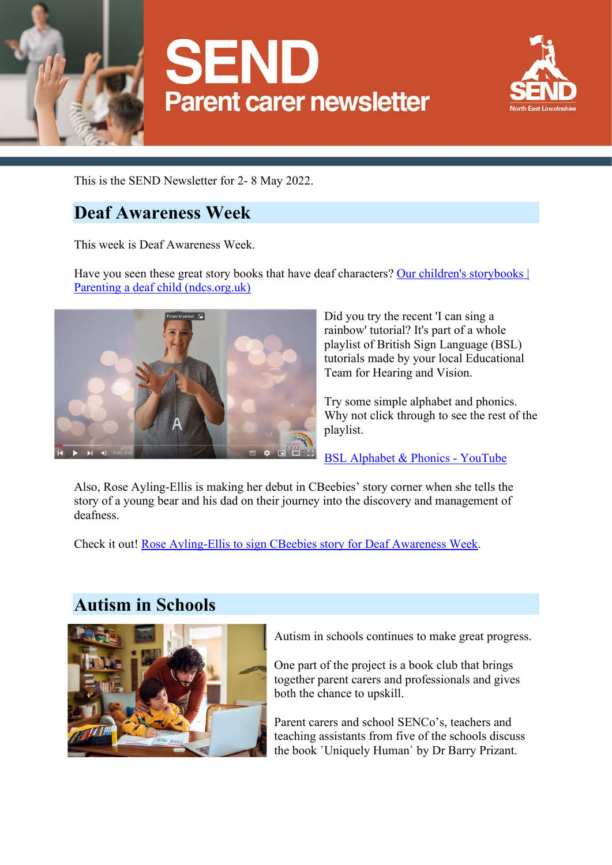





This is the SEND Newsletter for 2- 8 May 2022.

### **Deaf Awareness Week**

This week is Deaf Awareness Week.

Have you seen these great story books that have deaf characters? Our children's storybooks | [Parenting a deaf child \(ndcs.org.uk\)](https://www.ndcs.org.uk/information-and-support/parenting-and-family-life/parenting/parenting-a-deaf-child/our-childrens-storybooks/)



Did you try the recent 'I can sing a rainbow' tutorial? It's part of a whole playlist of British Sign Language (BSL) tutorials made by your local Educational Team for Hearing and Vision.

Try some simple alphabet and phonics. Why not click through to see the rest of the playlist.

[BSL Alphabet & Phonics -](https://www.youtube.com/watch?v=IdkdCq6niDg&list=PLakVSBv7tz8JglDnDpvgJXR-IhQG0Kf4G&index=13) YouTube

Also, Rose Ayling-Ellis is making her debut in CBeebies' story corner when she tells the story of a young bear and his dad on their journey into the discovery and management of deafness.

Check it out! [Rose Ayling-Ellis to sign CBeebies story for Deaf Awareness Week.](https://www.bbc.co.uk/mediacentre/2022/rose-ayling-ellis-to-sign-cbeebies-bedtime-story-for-deaf-awareness-week)

## **Autism in Schools**



Autism in schools continues to make great progress.

One part of the project is a book club that brings together parent carers and professionals and gives both the chance to upskill.

Parent carers and school SENCo's, teachers and teaching assistants from five of the schools discuss the book `Uniquely Human` by Dr Barry Prizant.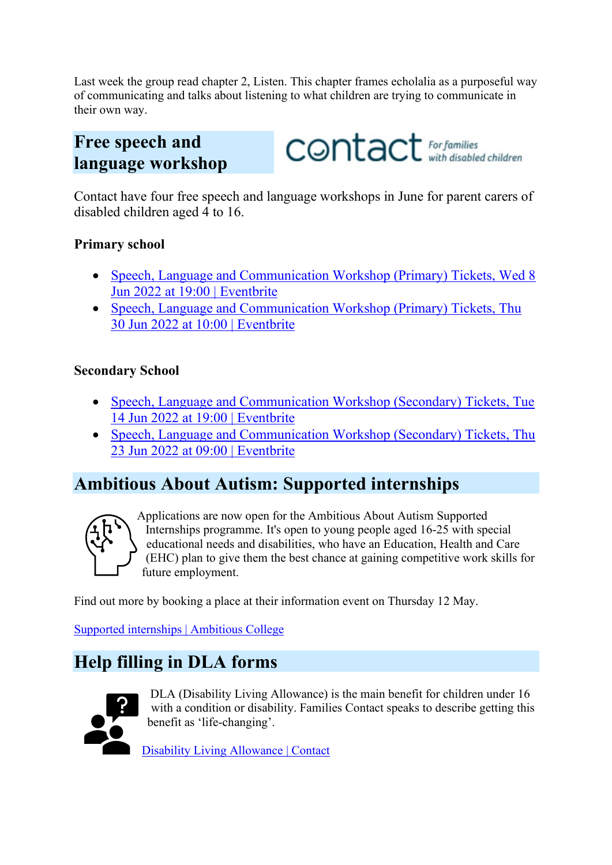Last week the group read chapter 2, Listen. This chapter frames echolalia as a purposeful way of communicating and talks about listening to what children are trying to communicate in their own way.

## **Free speech and language workshop**

CONtact For families

Contact have four free speech and language workshops in June for parent carers of disabled children aged 4 to 16.

#### **Primary school**

- Speech, Language and Communication Workshop (Primary) Tickets, Wed 8 [Jun 2022 at 19:00 | Eventbrite](https://www.eventbrite.co.uk/e/speech-language-and-communication-workshop-primary-tickets-263583173367)
- [Speech, Language and Communication Workshop \(Primary\) Tickets, Thu](https://www.eventbrite.co.uk/e/speech-language-and-communication-workshop-primary-tickets-263583955707)  [30 Jun 2022 at 10:00 | Eventbrite](https://www.eventbrite.co.uk/e/speech-language-and-communication-workshop-primary-tickets-263583955707)

#### **Secondary School**

- Speech, Language and Communication Workshop (Secondary) Tickets, Tue [14 Jun 2022 at 19:00 | Eventbrite](https://www.eventbrite.co.uk/e/speech-language-and-communication-workshop-secondary-tickets-263583504357)
- Speech, Language and Communication Workshop (Secondary) Tickets, Thu [23 Jun 2022 at 09:00 | Eventbrite](https://www.eventbrite.co.uk/e/speech-language-and-communication-workshop-secondary-tickets-263583664837)

## **Ambitious About Autism: Supported internships**



Applications are now open for the Ambitious About Autism Supported Internships programme. It's open to young people aged 16-25 with special educational needs and disabilities, who have an Education, Health and Care (EHC) plan to give them the best chance at gaining competitive work skills for future employment.

Find out more by booking a place at their information event on Thursday 12 May.

[Supported internships | Ambitious College](https://ambitiouscollege.org.uk/supported-internships)

# **Help filling in DLA forms**



DLA (Disability Living Allowance) is the main benefit for children under 16 with a condition or disability. Families Contact speaks to describe getting this benefit as 'life-changing'.

[Disability Living Allowance | Contact](https://contact.org.uk/help-for-families/information-advice-services/benefits-financial-help/benefits-and-tax-credits/disability-living-allowance/?utm_medium=email&utm_source=engagingnetworks&utm_campaign=wn26april22&utm_content=whats+new+26+april+B)